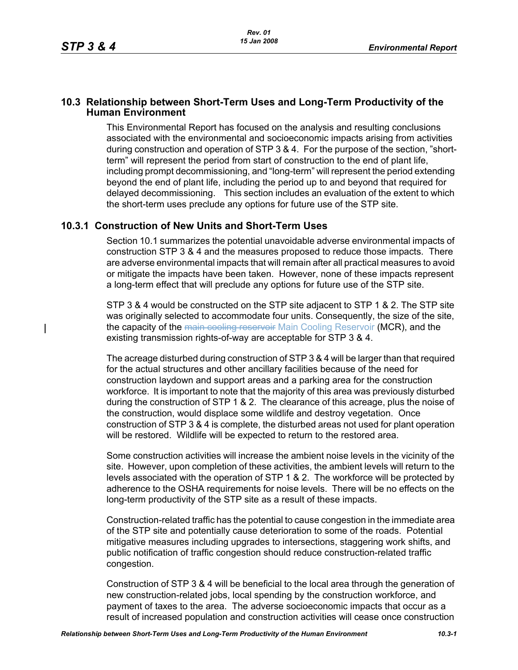$\mathbf l$ 

## **10.3 Relationship between Short-Term Uses and Long-Term Productivity of the Human Environment**

This Environmental Report has focused on the analysis and resulting conclusions associated with the environmental and socioeconomic impacts arising from activities during construction and operation of STP 3 & 4. For the purpose of the section, "shortterm" will represent the period from start of construction to the end of plant life, including prompt decommissioning, and "long-term" will represent the period extending beyond the end of plant life, including the period up to and beyond that required for delayed decommissioning. This section includes an evaluation of the extent to which the short-term uses preclude any options for future use of the STP site.

## **10.3.1 Construction of New Units and Short-Term Uses**

Section 10.1 summarizes the potential unavoidable adverse environmental impacts of construction STP 3 & 4 and the measures proposed to reduce those impacts. There are adverse environmental impacts that will remain after all practical measures to avoid or mitigate the impacts have been taken. However, none of these impacts represent a long-term effect that will preclude any options for future use of the STP site.

STP 3 & 4 would be constructed on the STP site adjacent to STP 1 & 2. The STP site was originally selected to accommodate four units. Consequently, the size of the site, the capacity of the main cooling reservoir Main Cooling Reservoir (MCR), and the existing transmission rights-of-way are acceptable for STP 3 & 4.

The acreage disturbed during construction of STP 3 & 4 will be larger than that required for the actual structures and other ancillary facilities because of the need for construction laydown and support areas and a parking area for the construction workforce. It is important to note that the majority of this area was previously disturbed during the construction of STP 1 & 2. The clearance of this acreage, plus the noise of the construction, would displace some wildlife and destroy vegetation. Once construction of STP 3 & 4 is complete, the disturbed areas not used for plant operation will be restored. Wildlife will be expected to return to the restored area.

Some construction activities will increase the ambient noise levels in the vicinity of the site. However, upon completion of these activities, the ambient levels will return to the levels associated with the operation of STP 1 & 2. The workforce will be protected by adherence to the OSHA requirements for noise levels. There will be no effects on the long-term productivity of the STP site as a result of these impacts.

Construction-related traffic has the potential to cause congestion in the immediate area of the STP site and potentially cause deterioration to some of the roads. Potential mitigative measures including upgrades to intersections, staggering work shifts, and public notification of traffic congestion should reduce construction-related traffic congestion.

Construction of STP 3 & 4 will be beneficial to the local area through the generation of new construction-related jobs, local spending by the construction workforce, and payment of taxes to the area. The adverse socioeconomic impacts that occur as a result of increased population and construction activities will cease once construction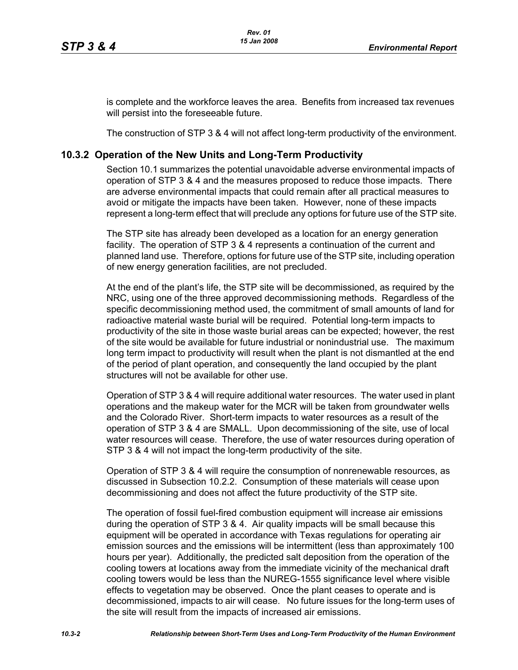is complete and the workforce leaves the area. Benefits from increased tax revenues will persist into the foreseeable future.

The construction of STP 3 & 4 will not affect long-term productivity of the environment.

## **10.3.2 Operation of the New Units and Long-Term Productivity**

Section 10.1 summarizes the potential unavoidable adverse environmental impacts of operation of STP 3 & 4 and the measures proposed to reduce those impacts. There are adverse environmental impacts that could remain after all practical measures to avoid or mitigate the impacts have been taken. However, none of these impacts represent a long-term effect that will preclude any options for future use of the STP site.

The STP site has already been developed as a location for an energy generation facility. The operation of STP 3 & 4 represents a continuation of the current and planned land use. Therefore, options for future use of the STP site, including operation of new energy generation facilities, are not precluded.

At the end of the plant's life, the STP site will be decommissioned, as required by the NRC, using one of the three approved decommissioning methods. Regardless of the specific decommissioning method used, the commitment of small amounts of land for radioactive material waste burial will be required. Potential long-term impacts to productivity of the site in those waste burial areas can be expected; however, the rest of the site would be available for future industrial or nonindustrial use. The maximum long term impact to productivity will result when the plant is not dismantled at the end of the period of plant operation, and consequently the land occupied by the plant structures will not be available for other use.

Operation of STP 3 & 4 will require additional water resources. The water used in plant operations and the makeup water for the MCR will be taken from groundwater wells and the Colorado River. Short-term impacts to water resources as a result of the operation of STP 3 & 4 are SMALL. Upon decommissioning of the site, use of local water resources will cease. Therefore, the use of water resources during operation of STP 3 & 4 will not impact the long-term productivity of the site.

Operation of STP 3 & 4 will require the consumption of nonrenewable resources, as discussed in Subsection 10.2.2. Consumption of these materials will cease upon decommissioning and does not affect the future productivity of the STP site.

The operation of fossil fuel-fired combustion equipment will increase air emissions during the operation of STP 3 & 4. Air quality impacts will be small because this equipment will be operated in accordance with Texas regulations for operating air emission sources and the emissions will be intermittent (less than approximately 100 hours per year). Additionally, the predicted salt deposition from the operation of the cooling towers at locations away from the immediate vicinity of the mechanical draft cooling towers would be less than the NUREG-1555 significance level where visible effects to vegetation may be observed. Once the plant ceases to operate and is decommissioned, impacts to air will cease. No future issues for the long-term uses of the site will result from the impacts of increased air emissions.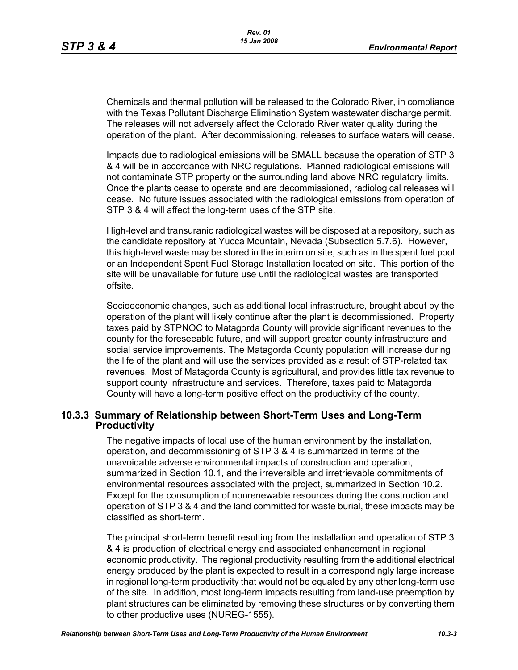Chemicals and thermal pollution will be released to the Colorado River, in compliance with the Texas Pollutant Discharge Elimination System wastewater discharge permit. The releases will not adversely affect the Colorado River water quality during the operation of the plant. After decommissioning, releases to surface waters will cease.

Impacts due to radiological emissions will be SMALL because the operation of STP 3 & 4 will be in accordance with NRC regulations. Planned radiological emissions will not contaminate STP property or the surrounding land above NRC regulatory limits. Once the plants cease to operate and are decommissioned, radiological releases will cease. No future issues associated with the radiological emissions from operation of STP 3 & 4 will affect the long-term uses of the STP site.

High-level and transuranic radiological wastes will be disposed at a repository, such as the candidate repository at Yucca Mountain, Nevada (Subsection 5.7.6). However, this high-level waste may be stored in the interim on site, such as in the spent fuel pool or an Independent Spent Fuel Storage Installation located on site. This portion of the site will be unavailable for future use until the radiological wastes are transported offsite.

Socioeconomic changes, such as additional local infrastructure, brought about by the operation of the plant will likely continue after the plant is decommissioned. Property taxes paid by STPNOC to Matagorda County will provide significant revenues to the county for the foreseeable future, and will support greater county infrastructure and social service improvements. The Matagorda County population will increase during the life of the plant and will use the services provided as a result of STP-related tax revenues. Most of Matagorda County is agricultural, and provides little tax revenue to support county infrastructure and services. Therefore, taxes paid to Matagorda County will have a long-term positive effect on the productivity of the county.

## **10.3.3 Summary of Relationship between Short-Term Uses and Long-Term Productivity**

The negative impacts of local use of the human environment by the installation, operation, and decommissioning of STP 3 & 4 is summarized in terms of the unavoidable adverse environmental impacts of construction and operation, summarized in Section 10.1, and the irreversible and irretrievable commitments of environmental resources associated with the project, summarized in Section 10.2. Except for the consumption of nonrenewable resources during the construction and operation of STP 3 & 4 and the land committed for waste burial, these impacts may be classified as short-term.

The principal short-term benefit resulting from the installation and operation of STP 3 & 4 is production of electrical energy and associated enhancement in regional economic productivity. The regional productivity resulting from the additional electrical energy produced by the plant is expected to result in a correspondingly large increase in regional long-term productivity that would not be equaled by any other long-term use of the site. In addition, most long-term impacts resulting from land-use preemption by plant structures can be eliminated by removing these structures or by converting them to other productive uses (NUREG-1555).